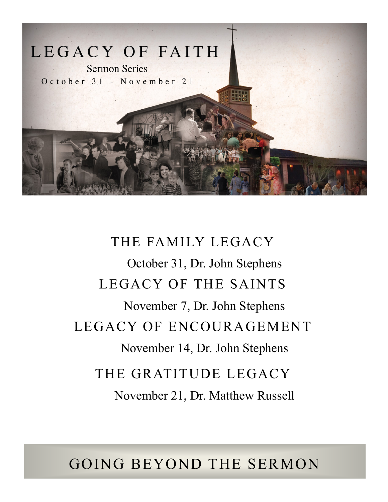

# THE FAMILY LEGACY October 31, Dr. John Stephens LEGACY OF THE SAINTS November 7, Dr. John Stephens LEGACY OF ENCOURAGEMENT November 14, Dr. John Stephens THE GRATITUDE LEGACY November 21, Dr. Matthew Russell

## GOING BEYOND THE SERMON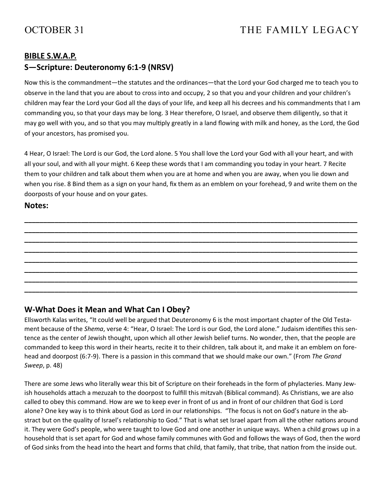## **BIBLE S.W.A.P.**

## **S—Scripture: Deuteronomy 6:1-9 (NRSV)**

Now this is the commandment—the statutes and the ordinances—that the Lord your God charged me to teach you to observe in the land that you are about to cross into and occupy, 2 so that you and your children and your children's children may fear the Lord your God all the days of your life, and keep all his decrees and his commandments that I am commanding you, so that your days may be long. 3 Hear therefore, O Israel, and observe them diligently, so that it may go well with you, and so that you may multiply greatly in a land flowing with milk and honey, as the Lord, the God of your ancestors, has promised you.

4 Hear, O Israel: The Lord is our God, the Lord alone. 5 You shall love the Lord your God with all your heart, and with all your soul, and with all your might. 6 Keep these words that I am commanding you today in your heart. 7 Recite them to your children and talk about them when you are at home and when you are away, when you lie down and when you rise. 8 Bind them as a sign on your hand, fix them as an emblem on your forehead, 9 and write them on the doorposts of your house and on your gates.

**\_\_\_\_\_\_\_\_\_\_\_\_\_\_\_\_\_\_\_\_\_\_\_\_\_\_\_\_\_\_\_\_\_\_\_\_\_\_\_\_\_\_\_\_\_\_\_\_\_\_\_\_\_\_\_\_\_\_\_\_\_\_\_\_\_\_\_\_\_\_\_\_\_\_\_\_\_\_\_\_\_\_\_\_\_\_\_\_ \_\_\_\_\_\_\_\_\_\_\_\_\_\_\_\_\_\_\_\_\_\_\_\_\_\_\_\_\_\_\_\_\_\_\_\_\_\_\_\_\_\_\_\_\_\_\_\_\_\_\_\_\_\_\_\_\_\_\_\_\_\_\_\_\_\_\_\_\_\_\_\_\_\_\_\_\_\_\_\_\_\_\_\_\_\_\_\_ \_\_\_\_\_\_\_\_\_\_\_\_\_\_\_\_\_\_\_\_\_\_\_\_\_\_\_\_\_\_\_\_\_\_\_\_\_\_\_\_\_\_\_\_\_\_\_\_\_\_\_\_\_\_\_\_\_\_\_\_\_\_\_\_\_\_\_\_\_\_\_\_\_\_\_\_\_\_\_\_\_\_\_\_\_\_\_\_ \_\_\_\_\_\_\_\_\_\_\_\_\_\_\_\_\_\_\_\_\_\_\_\_\_\_\_\_\_\_\_\_\_\_\_\_\_\_\_\_\_\_\_\_\_\_\_\_\_\_\_\_\_\_\_\_\_\_\_\_\_\_\_\_\_\_\_\_\_\_\_\_\_\_\_\_\_\_\_\_\_\_\_\_\_\_\_\_ \_\_\_\_\_\_\_\_\_\_\_\_\_\_\_\_\_\_\_\_\_\_\_\_\_\_\_\_\_\_\_\_\_\_\_\_\_\_\_\_\_\_\_\_\_\_\_\_\_\_\_\_\_\_\_\_\_\_\_\_\_\_\_\_\_\_\_\_\_\_\_\_\_\_\_\_\_\_\_\_\_\_\_\_\_\_\_\_ \_\_\_\_\_\_\_\_\_\_\_\_\_\_\_\_\_\_\_\_\_\_\_\_\_\_\_\_\_\_\_\_\_\_\_\_\_\_\_\_\_\_\_\_\_\_\_\_\_\_\_\_\_\_\_\_\_\_\_\_\_\_\_\_\_\_\_\_\_\_\_\_\_\_\_\_\_\_\_\_\_\_\_\_\_\_\_\_ \_\_\_\_\_\_\_\_\_\_\_\_\_\_\_\_\_\_\_\_\_\_\_\_\_\_\_\_\_\_\_\_\_\_\_\_\_\_\_\_\_\_\_\_\_\_\_\_\_\_\_\_\_\_\_\_\_\_\_\_\_\_\_\_\_\_\_\_\_\_\_\_\_\_\_\_\_\_\_\_\_\_\_\_\_\_\_\_ \_\_\_\_\_\_\_\_\_\_\_\_\_\_\_\_\_\_\_\_\_\_\_\_\_\_\_\_\_\_\_\_\_\_\_\_\_\_\_\_\_\_\_\_\_\_\_\_\_\_\_\_\_\_\_\_\_\_\_\_\_\_\_\_\_\_\_\_\_\_\_\_\_\_\_\_\_\_\_\_\_\_\_\_\_\_\_\_**

**Notes:**

## **W-What Does it Mean and What Can I Obey?**

Ellsworth Kalas writes, "It could well be argued that Deuteronomy 6 is the most important chapter of the Old Testament because of the *Shema*, verse 4: "Hear, O Israel: The Lord is our God, the Lord alone." Judaism identifies this sentence as the center of Jewish thought, upon which all other Jewish belief turns. No wonder, then, that the people are commanded to keep this word in their hearts, recite it to their children, talk about it, and make it an emblem on forehead and doorpost (6:7-9). There is a passion in this command that we should make our own." (From *The Grand Sweep*, p. 48)

There are some Jews who literally wear this bit of Scripture on their foreheads in the form of phylacteries. Many Jewish households attach a mezuzah to the doorpost to fulfill this mitzvah (Biblical command). As Christians, we are also called to obey this command. How are we to keep ever in front of us and in front of our children that God is Lord alone? One key way is to think about God as Lord in our relationships. "The focus is not on God's nature in the abstract but on the quality of Israel's relationship to God." That is what set Israel apart from all the other nations around it. They were God's people, who were taught to love God and one another in unique ways. When a child grows up in a household that is set apart for God and whose family communes with God and follows the ways of God, then the word of God sinks from the head into the heart and forms that child, that family, that tribe, that nation from the inside out.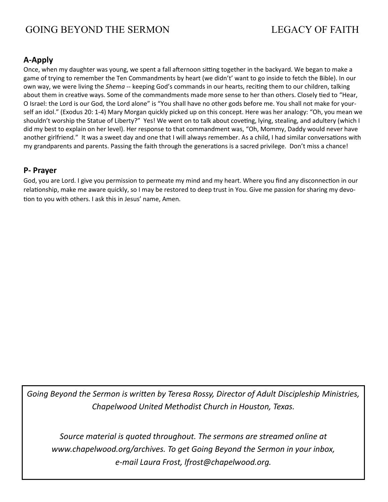## GOING BEYOND THE SERMON LEGACY OF FAITH

## **A-Apply**

Once, when my daughter was young, we spent a fall afternoon sitting together in the backyard. We began to make a game of trying to remember the Ten Commandments by heart (we didn't' want to go inside to fetch the Bible). In our own way, we were living the *Shema* -- keeping God's commands in our hearts, reciting them to our children, talking about them in creative ways. Some of the commandments made more sense to her than others. Closely tied to "Hear, O Israel: the Lord is our God, the Lord alone" is "You shall have no other gods before me. You shall not make for yourself an idol." (Exodus 20: 1-4) Mary Morgan quickly picked up on this concept. Here was her analogy: "Oh, you mean we shouldn't worship the Statue of Liberty?" Yes! We went on to talk about coveting, lying, stealing, and adultery (which I did my best to explain on her level). Her response to that commandment was, "Oh, Mommy, Daddy would never have another girlfriend." It was a sweet day and one that I will always remember. As a child, I had similar conversations with my grandparents and parents. Passing the faith through the generations is a sacred privilege. Don't miss a chance!

## **P- Prayer**

God, you are Lord. I give you permission to permeate my mind and my heart. Where you find any disconnection in our relationship, make me aware quickly, so I may be restored to deep trust in You. Give me passion for sharing my devotion to you with others. I ask this in Jesus' name, Amen.

*Going Beyond the Sermon is written by Teresa Rossy, Director of Adult Discipleship Ministries, Chapelwood United Methodist Church in Houston, Texas.*

*Source material is quoted throughout. The sermons are streamed online at www.chapelwood.org/archives. To get Going Beyond the Sermon in your inbox, e-mail Laura Frost, lfrost@chapelwood.org.*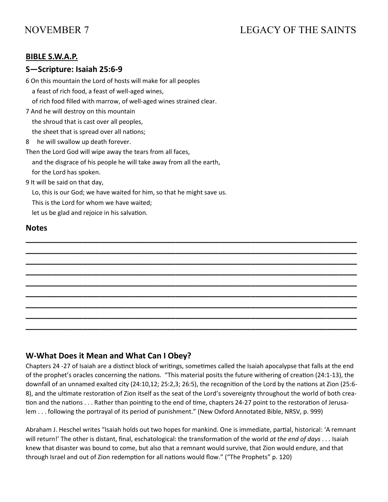## NOVEMBER 7 LEGACY OF THE SAINTS

## **BIBLE S.W.A.P.**

## **S—Scripture: Isaiah 25:6-9**

6 On this mountain the Lord of hosts will make for all peoples

a feast of rich food, a feast of well-aged wines,

of rich food filled with marrow, of well-aged wines strained clear.

7 And he will destroy on this mountain

the shroud that is cast over all peoples,

the sheet that is spread over all nations;

8 he will swallow up death forever.

Then the Lord God will wipe away the tears from all faces,

and the disgrace of his people he will take away from all the earth,

for the Lord has spoken.

9 It will be said on that day,

Lo, this is our God; we have waited for him, so that he might save us.

This is the Lord for whom we have waited;

let us be glad and rejoice in his salvation.

#### **Notes**

## **W-What Does it Mean and What Can I Obey?**

Chapters 24 -27 of Isaiah are a distinct block of writings, sometimes called the Isaiah apocalypse that falls at the end of the prophet's oracles concerning the nations. "This material posits the future withering of creation (24:1-13), the downfall of an unnamed exalted city (24:10,12; 25:2,3; 26:5), the recognition of the Lord by the nations at Zion (25:6- 8), and the ultimate restoration of Zion itself as the seat of the Lord's sovereignty throughout the world of both creation and the nations . . . Rather than pointing to the end of time, chapters 24-27 point to the restoration of Jerusalem . . . following the portrayal of its period of punishment." (New Oxford Annotated Bible, NRSV, p. 999)

**\_\_\_\_\_\_\_\_\_\_\_\_\_\_\_\_\_\_\_\_\_\_\_\_\_\_\_\_\_\_\_\_\_\_\_\_\_\_\_\_\_\_\_\_\_\_\_\_\_\_\_\_\_\_\_\_\_\_\_\_\_\_\_\_\_\_\_\_\_\_\_\_\_\_\_ \_\_\_\_\_\_\_\_\_\_\_\_\_\_\_\_\_\_\_\_\_\_\_\_\_\_\_\_\_\_\_\_\_\_\_\_\_\_\_\_\_\_\_\_\_\_\_\_\_\_\_\_\_\_\_\_\_\_\_\_\_\_\_\_\_\_\_\_\_\_\_\_\_\_\_ \_\_\_\_\_\_\_\_\_\_\_\_\_\_\_\_\_\_\_\_\_\_\_\_\_\_\_\_\_\_\_\_\_\_\_\_\_\_\_\_\_\_\_\_\_\_\_\_\_\_\_\_\_\_\_\_\_\_\_\_\_\_\_\_\_\_\_\_\_\_\_\_\_\_\_ \_\_\_\_\_\_\_\_\_\_\_\_\_\_\_\_\_\_\_\_\_\_\_\_\_\_\_\_\_\_\_\_\_\_\_\_\_\_\_\_\_\_\_\_\_\_\_\_\_\_\_\_\_\_\_\_\_\_\_\_\_\_\_\_\_\_\_\_\_\_\_\_\_\_\_ \_\_\_\_\_\_\_\_\_\_\_\_\_\_\_\_\_\_\_\_\_\_\_\_\_\_\_\_\_\_\_\_\_\_\_\_\_\_\_\_\_\_\_\_\_\_\_\_\_\_\_\_\_\_\_\_\_\_\_\_\_\_\_\_\_\_\_\_\_\_\_\_\_\_\_ \_\_\_\_\_\_\_\_\_\_\_\_\_\_\_\_\_\_\_\_\_\_\_\_\_\_\_\_\_\_\_\_\_\_\_\_\_\_\_\_\_\_\_\_\_\_\_\_\_\_\_\_\_\_\_\_\_\_\_\_\_\_\_\_\_\_\_\_\_\_\_\_\_\_\_ \_\_\_\_\_\_\_\_\_\_\_\_\_\_\_\_\_\_\_\_\_\_\_\_\_\_\_\_\_\_\_\_\_\_\_\_\_\_\_\_\_\_\_\_\_\_\_\_\_\_\_\_\_\_\_\_\_\_\_\_\_\_\_\_\_\_\_\_\_\_\_\_\_\_\_ \_\_\_\_\_\_\_\_\_\_\_\_\_\_\_\_\_\_\_\_\_\_\_\_\_\_\_\_\_\_\_\_\_\_\_\_\_\_\_\_\_\_\_\_\_\_\_\_\_\_\_\_\_\_\_\_\_\_\_\_\_\_\_\_\_\_\_\_\_\_\_\_\_\_\_ \_\_\_\_\_\_\_\_\_\_\_\_\_\_\_\_\_\_\_\_\_\_\_\_\_\_\_\_\_\_\_\_\_\_\_\_\_\_\_\_\_\_\_\_\_\_\_\_\_\_\_\_\_\_\_\_\_\_\_\_\_\_\_\_\_\_\_\_\_\_\_\_\_\_\_**

Abraham J. Heschel writes "Isaiah holds out two hopes for mankind. One is immediate, partial, historical: 'A remnant will return!' The other is distant, final, eschatological: the transformation of the world *at the end of days* . . . Isaiah knew that disaster was bound to come, but also that a remnant would survive, that Zion would endure, and that through Israel and out of Zion redemption for all nations would flow." ("The Prophets" p. 120)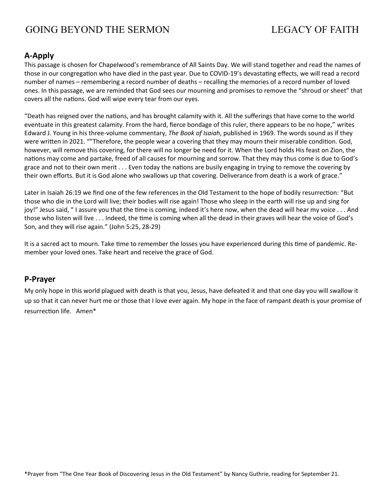## GOING BEYOND THE SERMON LEGACY OF FAITH

## **A-Apply**

This passage is chosen for Chapelwood's remembrance of All Saints Day. We will stand together and read the names of those in our congregation who have died in the past year. Due to COVID-19's devastating effects, we will read a record number of names – remembering a record number of deaths – recalling the memories of a record number of loved ones. In this passage, we are reminded that God sees our mourning and promises to remove the "shroud or sheet" that covers all the nations. God will wipe every tear from our eyes.

"Death has reigned over the nations, and has brought calamity with it. All the sufferings that have come to the world eventuate in this greatest calamity. From the hard, fierce bondage of this ruler, there appears to be no hope," writes Edward J. Young in his three-volume commentary, *The Book of Isaiah*, published in 1969. The words sound as if they were written in 2021. ""Therefore, the people wear a covering that they may mourn their miserable condition. God, however, will remove this covering, for there will no longer be need for it. When the Lord holds His feast on Zion, the nations may come and partake, freed of all causes for mourning and sorrow. That they may thus come is due to God's grace and not to their own merit . . . Even today the nations are busily engaging in trying to remove the covering by their own efforts. But it is God alone who swallows up that covering. Deliverance from death is a work of grace."

Later in Isaiah 26:19 we find one of the few references in the Old Testament to the hope of bodily resurrection: "But those who die in the Lord will live; their bodies will rise again! Those who sleep in the earth will rise up and sing for joy!" Jesus said, " I assure you that the time is coming, indeed it's here now, when the dead will hear my voice . . . And those who listen will live . . . Indeed, the time is coming when all the dead in their graves will hear the voice of God's Son, and they will rise again." (John 5:25, 28-29)

It is a sacred act to mourn. Take time to remember the losses you have experienced during this time of pandemic. Remember your loved ones. Take heart and receive the grace of God.

## **P-Prayer**

My only hope in this world plagued with death is that you, Jesus, have defeated it and that one day you will swallow it up so that it can never hurt me or those that I love ever again. My hope in the face of rampant death is your promise of resurrection life. Amen\*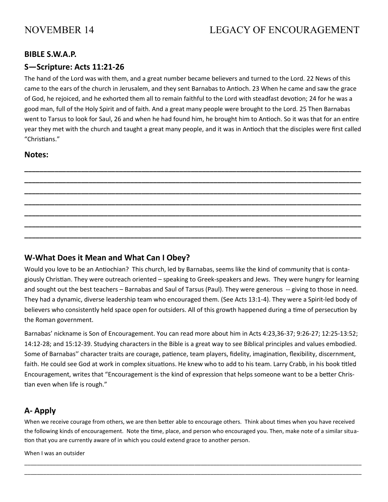## NOVEMBER 14 LEGACY OF ENCOURAGEMENT

## **BIBLE S.W.A.P.**

## **S—Scripture: Acts 11:21-26**

The hand of the Lord was with them, and a great number became believers and turned to the Lord. 22 News of this came to the ears of the church in Jerusalem, and they sent Barnabas to Antioch. 23 When he came and saw the grace of God, he rejoiced, and he exhorted them all to remain faithful to the Lord with steadfast devotion; 24 for he was a good man, full of the Holy Spirit and of faith. And a great many people were brought to the Lord. 25 Then Barnabas went to Tarsus to look for Saul, 26 and when he had found him, he brought him to Antioch. So it was that for an entire year they met with the church and taught a great many people, and it was in Antioch that the disciples were first called "Christians."

**\_\_\_\_\_\_\_\_\_\_\_\_\_\_\_\_\_\_\_\_\_\_\_\_\_\_\_\_\_\_\_\_\_\_\_\_\_\_\_\_\_\_\_\_\_\_\_\_\_\_\_\_\_\_\_\_\_\_\_\_\_\_\_\_\_\_\_\_\_\_\_\_\_\_\_\_\_\_\_\_\_\_\_\_\_\_\_\_\_ \_\_\_\_\_\_\_\_\_\_\_\_\_\_\_\_\_\_\_\_\_\_\_\_\_\_\_\_\_\_\_\_\_\_\_\_\_\_\_\_\_\_\_\_\_\_\_\_\_\_\_\_\_\_\_\_\_\_\_\_\_\_\_\_\_\_\_\_\_\_\_\_\_\_\_\_\_\_\_\_\_\_\_\_\_\_\_\_\_ \_\_\_\_\_\_\_\_\_\_\_\_\_\_\_\_\_\_\_\_\_\_\_\_\_\_\_\_\_\_\_\_\_\_\_\_\_\_\_\_\_\_\_\_\_\_\_\_\_\_\_\_\_\_\_\_\_\_\_\_\_\_\_\_\_\_\_\_\_\_\_\_\_\_\_\_\_\_\_\_\_\_\_\_\_\_\_\_\_ \_\_\_\_\_\_\_\_\_\_\_\_\_\_\_\_\_\_\_\_\_\_\_\_\_\_\_\_\_\_\_\_\_\_\_\_\_\_\_\_\_\_\_\_\_\_\_\_\_\_\_\_\_\_\_\_\_\_\_\_\_\_\_\_\_\_\_\_\_\_\_\_\_\_\_\_\_\_\_\_\_\_\_\_\_\_\_\_\_ \_\_\_\_\_\_\_\_\_\_\_\_\_\_\_\_\_\_\_\_\_\_\_\_\_\_\_\_\_\_\_\_\_\_\_\_\_\_\_\_\_\_\_\_\_\_\_\_\_\_\_\_\_\_\_\_\_\_\_\_\_\_\_\_\_\_\_\_\_\_\_\_\_\_\_\_\_\_\_\_\_\_\_\_\_\_\_\_\_ \_\_\_\_\_\_\_\_\_\_\_\_\_\_\_\_\_\_\_\_\_\_\_\_\_\_\_\_\_\_\_\_\_\_\_\_\_\_\_\_\_\_\_\_\_\_\_\_\_\_\_\_\_\_\_\_\_\_\_\_\_\_\_\_\_\_\_\_\_\_\_\_\_\_\_\_\_\_\_\_\_\_\_\_\_\_\_\_\_ \_\_\_\_\_\_\_\_\_\_\_\_\_\_\_\_\_\_\_\_\_\_\_\_\_\_\_\_\_\_\_\_\_\_\_\_\_\_\_\_\_\_\_\_\_\_\_\_\_\_\_\_\_\_\_\_\_\_\_\_\_\_\_\_\_\_\_\_\_\_\_\_\_\_\_\_\_\_\_\_\_\_\_\_\_\_\_\_\_**

#### **Notes:**

## **W-What Does it Mean and What Can I Obey?**

Would you love to be an Antiochian? This church, led by Barnabas, seems like the kind of community that is contagiously Christian. They were outreach oriented – speaking to Greek-speakers and Jews. They were hungry for learning and sought out the best teachers – Barnabas and Saul of Tarsus (Paul). They were generous -- giving to those in need. They had a dynamic, diverse leadership team who encouraged them. (See Acts 13:1-4). They were a Spirit-led body of believers who consistently held space open for outsiders. All of this growth happened during a time of persecution by the Roman government.

Barnabas' nickname is Son of Encouragement. You can read more about him in Acts 4:23,36-37; 9:26-27; 12:25-13:52; 14:12-28; and 15:12-39. Studying characters in the Bible is a great way to see Biblical principles and values embodied. Some of Barnabas'' character traits are courage, patience, team players, fidelity, imagination, flexibility, discernment, faith. He could see God at work in complex situations. He knew who to add to his team. Larry Crabb, in his book titled Encouragement, writes that "Encouragement is the kind of expression that helps someone want to be a better Christian even when life is rough."

## **A- Apply**

When we receive courage from others, we are then better able to encourage others. Think about times when you have received the following kinds of encouragement. Note the time, place, and person who encouraged you. Then, make note of a similar situation that you are currently aware of in which you could extend grace to another person.

\_\_\_\_\_\_\_\_\_\_\_\_\_\_\_\_\_\_\_\_\_\_\_\_\_\_\_\_\_\_\_\_\_\_\_\_\_\_\_\_\_\_\_\_\_\_\_\_\_\_\_\_\_\_\_\_\_\_\_\_\_\_\_\_\_\_\_\_\_\_\_\_\_\_\_\_\_\_\_\_\_\_\_\_\_\_\_\_\_\_\_\_\_\_\_\_\_\_\_\_\_\_\_\_\_\_\_ \_\_\_\_\_\_\_\_\_\_\_\_\_\_\_\_\_\_\_\_\_\_\_\_\_\_\_\_\_\_\_\_\_\_\_\_\_\_\_\_\_\_\_\_\_\_\_\_\_\_\_\_\_\_\_\_\_\_\_\_\_\_\_\_\_\_\_\_\_\_\_\_\_\_\_\_\_\_\_\_\_\_\_\_\_\_\_\_\_\_\_\_\_\_\_\_\_\_\_\_\_\_\_\_\_\_\_

When I was an outsider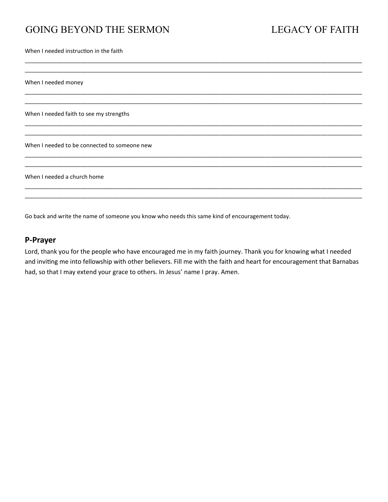## GOING BEYOND THE SERMON LEGACY OF FAITH

When I needed instruction in the faith

When I needed money

When I needed faith to see my strengths

When I needed to be connected to someone new

When I needed a church home

Go back and write the name of someone you know who needs this same kind of encouragement today.

#### **P-Prayer**

Lord, thank you for the people who have encouraged me in my faith journey. Thank you for knowing what I needed and inviting me into fellowship with other believers. Fill me with the faith and heart for encouragement that Barnabas had, so that I may extend your grace to others. In Jesus' name I pray. Amen.

\_\_\_\_\_\_\_\_\_\_\_\_\_\_\_\_\_\_\_\_\_\_\_\_\_\_\_\_\_\_\_\_\_\_\_\_\_\_\_\_\_\_\_\_\_\_\_\_\_\_\_\_\_\_\_\_\_\_\_\_\_\_\_\_\_\_\_\_\_\_\_\_\_\_\_\_\_\_\_\_\_\_\_\_\_\_\_\_\_\_\_\_\_\_\_\_\_\_\_\_\_\_\_\_\_\_\_ \_\_\_\_\_\_\_\_\_\_\_\_\_\_\_\_\_\_\_\_\_\_\_\_\_\_\_\_\_\_\_\_\_\_\_\_\_\_\_\_\_\_\_\_\_\_\_\_\_\_\_\_\_\_\_\_\_\_\_\_\_\_\_\_\_\_\_\_\_\_\_\_\_\_\_\_\_\_\_\_\_\_\_\_\_\_\_\_\_\_\_\_\_\_\_\_\_\_\_\_\_\_\_\_\_\_\_

\_\_\_\_\_\_\_\_\_\_\_\_\_\_\_\_\_\_\_\_\_\_\_\_\_\_\_\_\_\_\_\_\_\_\_\_\_\_\_\_\_\_\_\_\_\_\_\_\_\_\_\_\_\_\_\_\_\_\_\_\_\_\_\_\_\_\_\_\_\_\_\_\_\_\_\_\_\_\_\_\_\_\_\_\_\_\_\_\_\_\_\_\_\_\_\_\_\_\_\_\_\_\_\_\_\_\_ \_\_\_\_\_\_\_\_\_\_\_\_\_\_\_\_\_\_\_\_\_\_\_\_\_\_\_\_\_\_\_\_\_\_\_\_\_\_\_\_\_\_\_\_\_\_\_\_\_\_\_\_\_\_\_\_\_\_\_\_\_\_\_\_\_\_\_\_\_\_\_\_\_\_\_\_\_\_\_\_\_\_\_\_\_\_\_\_\_\_\_\_\_\_\_\_\_\_\_\_\_\_\_\_\_\_\_

\_\_\_\_\_\_\_\_\_\_\_\_\_\_\_\_\_\_\_\_\_\_\_\_\_\_\_\_\_\_\_\_\_\_\_\_\_\_\_\_\_\_\_\_\_\_\_\_\_\_\_\_\_\_\_\_\_\_\_\_\_\_\_\_\_\_\_\_\_\_\_\_\_\_\_\_\_\_\_\_\_\_\_\_\_\_\_\_\_\_\_\_\_\_\_\_\_\_\_\_\_\_\_\_\_\_\_ \_\_\_\_\_\_\_\_\_\_\_\_\_\_\_\_\_\_\_\_\_\_\_\_\_\_\_\_\_\_\_\_\_\_\_\_\_\_\_\_\_\_\_\_\_\_\_\_\_\_\_\_\_\_\_\_\_\_\_\_\_\_\_\_\_\_\_\_\_\_\_\_\_\_\_\_\_\_\_\_\_\_\_\_\_\_\_\_\_\_\_\_\_\_\_\_\_\_\_\_\_\_\_\_\_\_\_

\_\_\_\_\_\_\_\_\_\_\_\_\_\_\_\_\_\_\_\_\_\_\_\_\_\_\_\_\_\_\_\_\_\_\_\_\_\_\_\_\_\_\_\_\_\_\_\_\_\_\_\_\_\_\_\_\_\_\_\_\_\_\_\_\_\_\_\_\_\_\_\_\_\_\_\_\_\_\_\_\_\_\_\_\_\_\_\_\_\_\_\_\_\_\_\_\_\_\_\_\_\_\_\_\_\_\_ \_\_\_\_\_\_\_\_\_\_\_\_\_\_\_\_\_\_\_\_\_\_\_\_\_\_\_\_\_\_\_\_\_\_\_\_\_\_\_\_\_\_\_\_\_\_\_\_\_\_\_\_\_\_\_\_\_\_\_\_\_\_\_\_\_\_\_\_\_\_\_\_\_\_\_\_\_\_\_\_\_\_\_\_\_\_\_\_\_\_\_\_\_\_\_\_\_\_\_\_\_\_\_\_\_\_\_

\_\_\_\_\_\_\_\_\_\_\_\_\_\_\_\_\_\_\_\_\_\_\_\_\_\_\_\_\_\_\_\_\_\_\_\_\_\_\_\_\_\_\_\_\_\_\_\_\_\_\_\_\_\_\_\_\_\_\_\_\_\_\_\_\_\_\_\_\_\_\_\_\_\_\_\_\_\_\_\_\_\_\_\_\_\_\_\_\_\_\_\_\_\_\_\_\_\_\_\_\_\_\_\_\_\_\_ \_\_\_\_\_\_\_\_\_\_\_\_\_\_\_\_\_\_\_\_\_\_\_\_\_\_\_\_\_\_\_\_\_\_\_\_\_\_\_\_\_\_\_\_\_\_\_\_\_\_\_\_\_\_\_\_\_\_\_\_\_\_\_\_\_\_\_\_\_\_\_\_\_\_\_\_\_\_\_\_\_\_\_\_\_\_\_\_\_\_\_\_\_\_\_\_\_\_\_\_\_\_\_\_\_\_\_